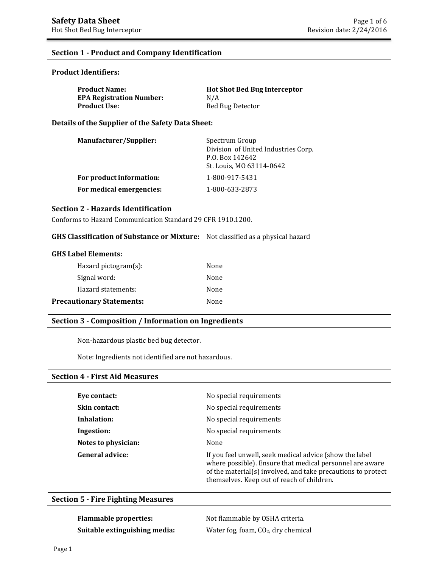## **Section 1 - Product and Company Identification**

## **Product Identifiers:**

| <b>Product Name:</b>            | <b>Hot Shot Bed Bug Interceptor</b> |
|---------------------------------|-------------------------------------|
| <b>EPA Registration Number:</b> | N/A                                 |
| Product Use:                    | Bed Bug Detector                    |

**Details of the Supplier of the Safety Data Sheet:** 

| <b>Manufacturer/Supplier:</b> | Spectrum Group<br>Division of United Industries Corp.<br>P.O. Box 142642<br>St. Louis, MO 63114-0642 |
|-------------------------------|------------------------------------------------------------------------------------------------------|
| For product information:      | 1-800-917-5431                                                                                       |
| For medical emergencies:      | 1-800-633-2873                                                                                       |

### **Section 2 - Hazards Identification**

Conforms to Hazard Communication Standard 29 CFR 1910.1200.

#### **GHS Classification of Substance or Mixture:** Not classified as a physical hazard

| $Hazard$ pictogram $(s)$ :       | None |
|----------------------------------|------|
| Signal word:                     | None |
| Hazard statements:               | None |
| <b>Precautionary Statements:</b> | None |

## **Section 3 - Composition / Information on Ingredients**

Non-hazardous plastic bed bug detector.

Note: Ingredients not identified are not hazardous.

#### **Section 4 - First Aid Measures**

| Eye contact:           | No special requirements                                                                                                                                                                                                           |
|------------------------|-----------------------------------------------------------------------------------------------------------------------------------------------------------------------------------------------------------------------------------|
| Skin contact:          | No special requirements                                                                                                                                                                                                           |
| Inhalation:            | No special requirements                                                                                                                                                                                                           |
| Ingestion:             | No special requirements                                                                                                                                                                                                           |
| Notes to physician:    | None                                                                                                                                                                                                                              |
| <b>General advice:</b> | If you feel unwell, seek medical advice (show the label<br>where possible). Ensure that medical personnel are aware<br>of the material(s) involved, and take precautions to protect<br>themselves. Keep out of reach of children. |

## **Section 5 - Fire Fighting Measures**

**Flammable properties:** Not flammable by OSHA criteria. **Suitable extinguishing media:** Water fog, foam, CO<sub>2</sub>, dry chemical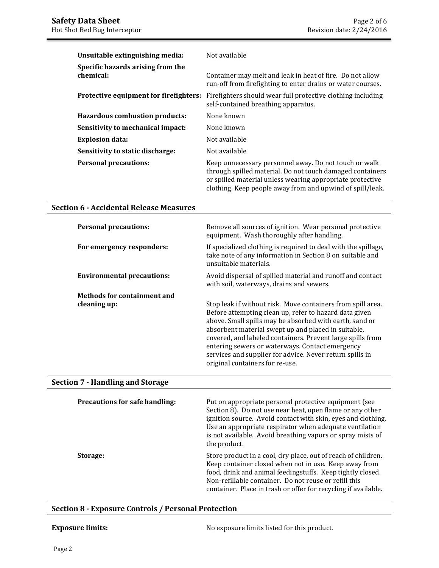| Unsuitable extinguishing media:                | Not available                                                                                                                                                                                                                                |
|------------------------------------------------|----------------------------------------------------------------------------------------------------------------------------------------------------------------------------------------------------------------------------------------------|
| Specific hazards arising from the<br>chemical: | Container may melt and leak in heat of fire. Do not allow<br>run-off from firefighting to enter drains or water courses.                                                                                                                     |
| Protective equipment for firefighters:         | Firefighters should wear full protective clothing including<br>self-contained breathing apparatus.                                                                                                                                           |
| <b>Hazardous combustion products:</b>          | None known                                                                                                                                                                                                                                   |
| Sensitivity to mechanical impact:              | None known                                                                                                                                                                                                                                   |
| <b>Explosion data:</b>                         | Not available                                                                                                                                                                                                                                |
| Sensitivity to static discharge:               | Not available                                                                                                                                                                                                                                |
| <b>Personal precautions:</b>                   | Keep unnecessary personnel away. Do not touch or walk<br>through spilled material. Do not touch damaged containers<br>or spilled material unless wearing appropriate protective<br>clothing. Keep people away from and upwind of spill/leak. |

## **Section 6 - Accidental Release Measures**

| <b>Personal precautions:</b>            | Remove all sources of ignition. Wear personal protective<br>equipment. Wash thoroughly after handling.                                                                                                                                                                                                                                                                                                                                                  |
|-----------------------------------------|---------------------------------------------------------------------------------------------------------------------------------------------------------------------------------------------------------------------------------------------------------------------------------------------------------------------------------------------------------------------------------------------------------------------------------------------------------|
| For emergency responders:               | If specialized clothing is required to deal with the spillage,<br>take note of any information in Section 8 on suitable and<br>unsuitable materials.                                                                                                                                                                                                                                                                                                    |
| <b>Environmental precautions:</b>       | Avoid dispersal of spilled material and runoff and contact<br>with soil, waterways, drains and sewers.                                                                                                                                                                                                                                                                                                                                                  |
| <b>Methods for containment and</b>      |                                                                                                                                                                                                                                                                                                                                                                                                                                                         |
| cleaning up:                            | Stop leak if without risk. Move containers from spill area.<br>Before attempting clean up, refer to hazard data given<br>above. Small spills may be absorbed with earth, sand or<br>absorbent material swept up and placed in suitable,<br>covered, and labeled containers. Prevent large spills from<br>entering sewers or waterways. Contact emergency<br>services and supplier for advice. Never return spills in<br>original containers for re-use. |
| <b>Section 7 - Handling and Storage</b> |                                                                                                                                                                                                                                                                                                                                                                                                                                                         |

| <b>Precautions for safe handling:</b> | Put on appropriate personal protective equipment (see<br>Section 8). Do not use near heat, open flame or any other<br>ignition source. Avoid contact with skin, eyes and clothing.<br>Use an appropriate respirator when adequate ventilation<br>is not available. Avoid breathing vapors or spray mists of<br>the product. |
|---------------------------------------|-----------------------------------------------------------------------------------------------------------------------------------------------------------------------------------------------------------------------------------------------------------------------------------------------------------------------------|
| Storage:                              | Store product in a cool, dry place, out of reach of children.<br>Keep container closed when not in use. Keep away from<br>food, drink and animal feedingstuffs. Keep tightly closed.<br>Non-refillable container. Do not reuse or refill this<br>container. Place in trash or offer for recycling if available.             |

## **Section 8 - Exposure Controls / Personal Protection**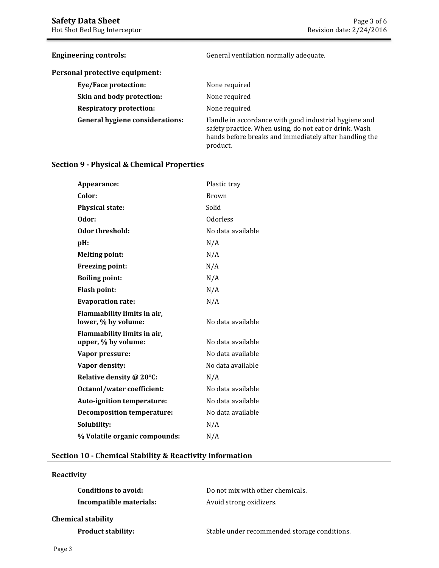| <b>Engineering controls:</b>           | General ventilation normally adequate.                                                                                                                                                |
|----------------------------------------|---------------------------------------------------------------------------------------------------------------------------------------------------------------------------------------|
| Personal protective equipment:         |                                                                                                                                                                                       |
| <b>Eye/Face protection:</b>            | None required                                                                                                                                                                         |
| Skin and body protection:              | None required                                                                                                                                                                         |
| <b>Respiratory protection:</b>         | None required                                                                                                                                                                         |
| <b>General hygiene considerations:</b> | Handle in accordance with good industrial hygiene and<br>safety practice. When using, do not eat or drink. Wash<br>hands before breaks and immediately after handling the<br>product. |

## **Section 9 - Physical & Chemical Properties**

| Appearance:                                        | Plastic tray      |
|----------------------------------------------------|-------------------|
| Color:                                             | Brown             |
| <b>Physical state:</b>                             | Solid             |
| Odor:                                              | <b>Odorless</b>   |
| Odor threshold:                                    | No data available |
| pH:                                                | N/A               |
| <b>Melting point:</b>                              | N/A               |
| Freezing point:                                    | N/A               |
| <b>Boiling point:</b>                              | N/A               |
| <b>Flash point:</b>                                | N/A               |
| <b>Evaporation rate:</b>                           | N/A               |
| Flammability limits in air,<br>lower, % by volume: | No data available |
| Flammability limits in air,<br>upper, % by volume: | No data available |
| Vapor pressure:                                    | No data available |
| Vapor density:                                     | No data available |
|                                                    |                   |
| Relative density @ 20°C:                           | N/A               |
| <b>Octanol/water coefficient:</b>                  | No data available |
| Auto-ignition temperature:                         | No data available |
| <b>Decomposition temperature:</b>                  | No data available |
| Solubility:                                        | N/A               |
| % Volatile organic compounds:                      | N/A               |
|                                                    |                   |

## **Section 10 - Chemical Stability & Reactivity Information**

## **Reactivity**

| Conditions to avoid:      | Do not mix with other chemicals. |
|---------------------------|----------------------------------|
| Incompatible materials:   | Avoid strong oxidizers.          |
| <b>Chemical stability</b> |                                  |

**Product stability:** Stable under recommended storage conditions.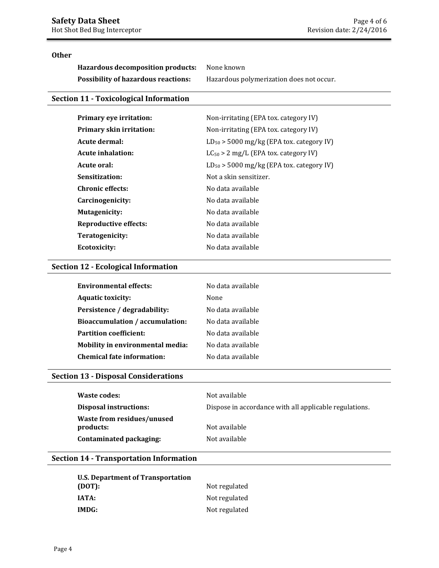## **Other**

**Hazardous decomposition products:** None known **Possibility of hazardous reactions:** Hazardous polymerization does not occur.

## **Section 11 - Toxicological Information**

| Primary eye irritation:      | Non-irritating (EPA tox. category IV)         |
|------------------------------|-----------------------------------------------|
| Primary skin irritation:     | Non-irritating (EPA tox. category IV)         |
| Acute dermal:                | $LD_{50}$ > 5000 mg/kg (EPA tox. category IV) |
| <b>Acute inhalation:</b>     | $LC_{50} > 2$ mg/L (EPA tox. category IV)     |
| Acute oral:                  | $LD_{50}$ > 5000 mg/kg (EPA tox. category IV) |
| Sensitization:               | Not a skin sensitizer.                        |
| <b>Chronic effects:</b>      | No data available                             |
| Carcinogenicity:             | No data available                             |
| <b>Mutagenicity:</b>         | No data available                             |
| <b>Reproductive effects:</b> | No data available                             |
| Teratogenicity:              | No data available                             |
| Ecotoxicity:                 | No data available                             |

## **Section 12 - Ecological Information**

| <b>Environmental effects:</b>     | No data available |
|-----------------------------------|-------------------|
| <b>Aquatic toxicity:</b>          | None              |
| Persistence / degradability:      | No data available |
| Bioaccumulation / accumulation:   | No data available |
| <b>Partition coefficient:</b>     | No data available |
| Mobility in environmental media:  | No data available |
| <b>Chemical fate information:</b> | No data available |

### **Section 13 - Disposal Considerations**

| Waste codes:                            | Not available                                          |
|-----------------------------------------|--------------------------------------------------------|
| <b>Disposal instructions:</b>           | Dispose in accordance with all applicable regulations. |
| Waste from residues/unused<br>products: | Not available                                          |
| Contaminated packaging:                 | Not available                                          |

## **Section 14 - Transportation Information**

| U.S. Department of Transportation |               |
|-----------------------------------|---------------|
| (DOT):                            | Not regulated |
| IATA:                             | Not regulated |
| IMDG:                             | Not regulated |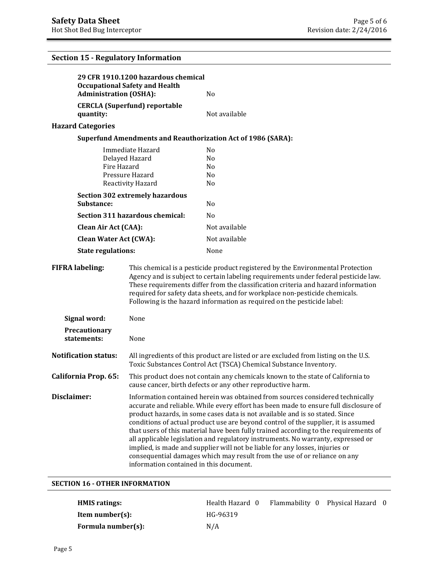# **29 CFR 1910.1200 hazardous chemical Occupational Safety and Health Administration (OSHA):** No **CERCLA (Superfund) reportable quantity:** Not available **Hazard Categories Superfund Amendments and Reauthorization Act of 1986 (SARA):**  Immediate Hazard No Delayed Hazard No Fire Hazard No Pressure Hazard No Reactivity Hazard No **Section 302 extremely hazardous**  Substance: No **Section 311 hazardous chemical:** No **Clean Air Act (CAA):** Not available **Clean Water Act (CWA):** Not available **State regulations:** None **FIFRA labeling:** This chemical is a pesticide product registered by the Environmental Protection Agency and is subject to certain labeling requirements under federal pesticide law. These requirements differ from the classification criteria and hazard information required for safety data sheets, and for workplace non-pesticide chemicals. Following is the hazard information as required on the pesticide label: **Signal word:** None **Precautionary statements:** None **Notification status:** All ingredients of this product are listed or are excluded from listing on the U.S. Toxic Substances Control Act (TSCA) Chemical Substance Inventory. **California Prop. 65:** This product does not contain any chemicals known to the state of California to cause cancer, birth defects or any other reproductive harm. **Disclaimer: Information contained herein was obtained from sources considered technically** accurate and reliable. While every effort has been made to ensure full disclosure of product hazards, in some cases data is not available and is so stated. Since conditions of actual product use are beyond control of the supplier, it is assumed that users of this material have been fully trained according to the requirements of all applicable legislation and regulatory instruments. No warranty, expressed or implied, is made and supplier will not be liable for any losses, injuries or consequential damages which may result from the use of or reliance on any information contained in this document. **Section 15 - Regulatory Information SECTION 16 - OTHER INFORMATION**

| <b>HMIS</b> ratings: | Health Hazard 0 | Flammability 0 Physical Hazard 0 |  |
|----------------------|-----------------|----------------------------------|--|
| Item number $(s)$ :  | HG-96319        |                                  |  |
| Formula number(s):   | N/A             |                                  |  |